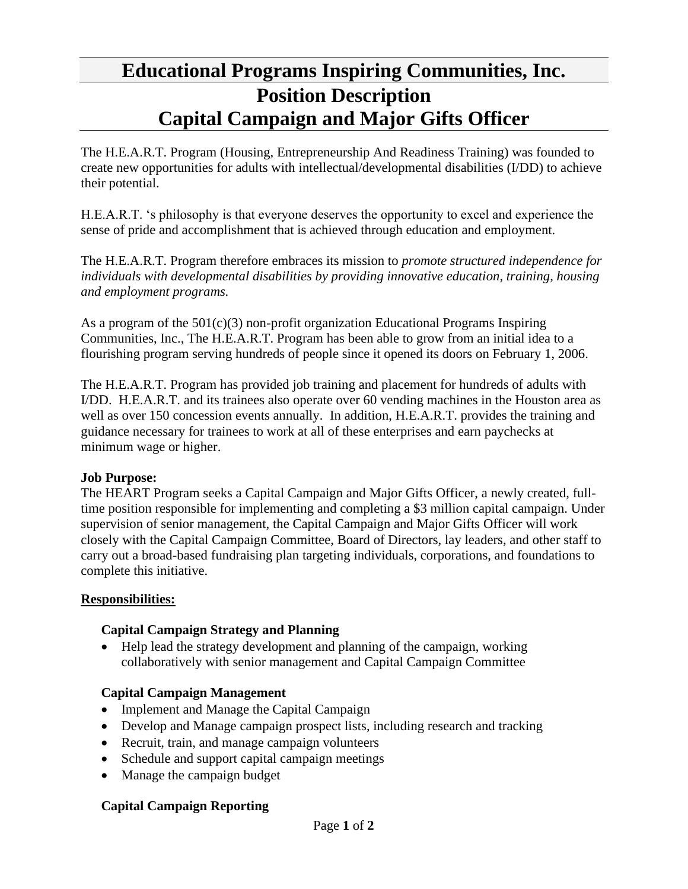# **Educational Programs Inspiring Communities, Inc. Position Description Capital Campaign and Major Gifts Officer**

The H.E.A.R.T. Program (Housing, Entrepreneurship And Readiness Training) was founded to create new opportunities for adults with intellectual/developmental disabilities (I/DD) to achieve their potential.

H.E.A.R.T. 's philosophy is that everyone deserves the opportunity to excel and experience the sense of pride and accomplishment that is achieved through education and employment.

The H.E.A.R.T. Program therefore embraces its mission to *promote structured independence for individuals with developmental disabilities by providing innovative education, training, housing and employment programs.*

As a program of the  $501(c)(3)$  non-profit organization Educational Programs Inspiring Communities, Inc., The H.E.A.R.T. Program has been able to grow from an initial idea to a flourishing program serving hundreds of people since it opened its doors on February 1, 2006.

The H.E.A.R.T. Program has provided job training and placement for hundreds of adults with I/DD. H.E.A.R.T. and its trainees also operate over 60 vending machines in the Houston area as well as over 150 concession events annually. In addition, H.E.A.R.T. provides the training and guidance necessary for trainees to work at all of these enterprises and earn paychecks at minimum wage or higher.

## **Job Purpose:**

The HEART Program seeks a Capital Campaign and Major Gifts Officer, a newly created, fulltime position responsible for implementing and completing a \$3 million capital campaign. Under supervision of senior management, the Capital Campaign and Major Gifts Officer will work closely with the Capital Campaign Committee, Board of Directors, lay leaders, and other staff to carry out a broad-based fundraising plan targeting individuals, corporations, and foundations to complete this initiative.

# **Responsibilities:**

## **Capital Campaign Strategy and Planning**

• Help lead the strategy development and planning of the campaign, working collaboratively with senior management and Capital Campaign Committee

# **Capital Campaign Management**

- Implement and Manage the Capital Campaign
- Develop and Manage campaign prospect lists, including research and tracking
- Recruit, train, and manage campaign volunteers
- Schedule and support capital campaign meetings
- Manage the campaign budget

# **Capital Campaign Reporting**